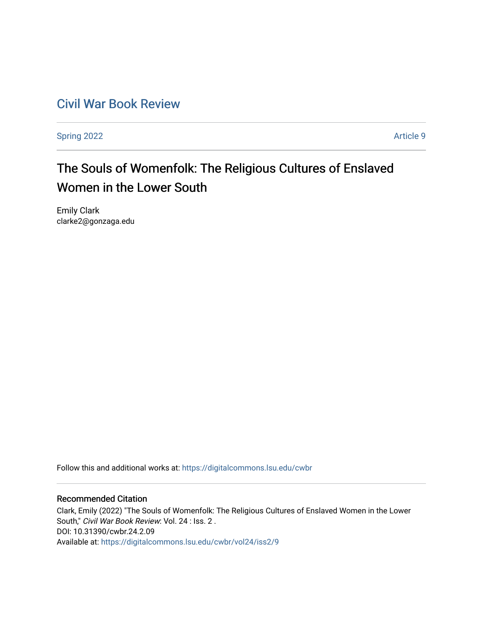# [Civil War Book Review](https://digitalcommons.lsu.edu/cwbr)

[Spring 2022](https://digitalcommons.lsu.edu/cwbr/vol24/iss2) **Article 9** 

# The Souls of Womenfolk: The Religious Cultures of Enslaved Women in the Lower South

Emily Clark clarke2@gonzaga.edu

Follow this and additional works at: [https://digitalcommons.lsu.edu/cwbr](https://digitalcommons.lsu.edu/cwbr?utm_source=digitalcommons.lsu.edu%2Fcwbr%2Fvol24%2Fiss2%2F9&utm_medium=PDF&utm_campaign=PDFCoverPages) 

#### Recommended Citation

Clark, Emily (2022) "The Souls of Womenfolk: The Religious Cultures of Enslaved Women in the Lower South," Civil War Book Review: Vol. 24 : Iss. 2 . DOI: 10.31390/cwbr.24.2.09 Available at: [https://digitalcommons.lsu.edu/cwbr/vol24/iss2/9](https://digitalcommons.lsu.edu/cwbr/vol24/iss2/9?utm_source=digitalcommons.lsu.edu%2Fcwbr%2Fvol24%2Fiss2%2F9&utm_medium=PDF&utm_campaign=PDFCoverPages)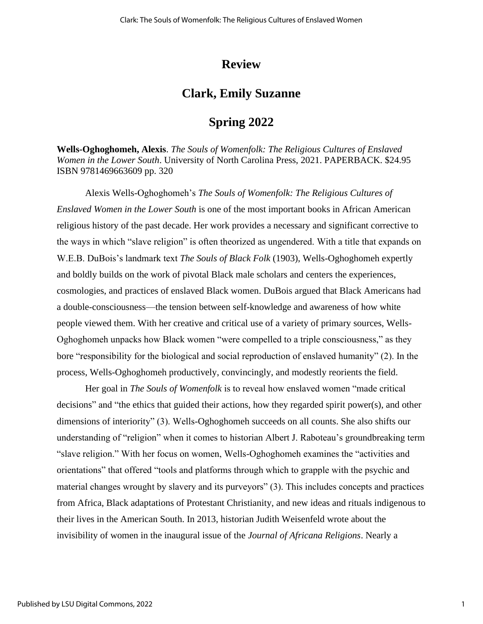### **Review**

# **Clark, Emily Suzanne**

# **Spring 2022**

**Wells-Oghoghomeh, Alexis**. *The Souls of Womenfolk: The Religious Cultures of Enslaved Women in the Lower South*. University of North Carolina Press, 2021. PAPERBACK. \$24.95 ISBN 9781469663609 pp. 320

Alexis Wells-Oghoghomeh's *The Souls of Womenfolk: The Religious Cultures of Enslaved Women in the Lower South* is one of the most important books in African American religious history of the past decade. Her work provides a necessary and significant corrective to the ways in which "slave religion" is often theorized as ungendered. With a title that expands on W.E.B. DuBois's landmark text *The Souls of Black Folk* (1903), Wells-Oghoghomeh expertly and boldly builds on the work of pivotal Black male scholars and centers the experiences, cosmologies, and practices of enslaved Black women. DuBois argued that Black Americans had a double-consciousness—the tension between self-knowledge and awareness of how white people viewed them. With her creative and critical use of a variety of primary sources, Wells-Oghoghomeh unpacks how Black women "were compelled to a triple consciousness," as they bore "responsibility for the biological and social reproduction of enslaved humanity" (2). In the process, Wells-Oghoghomeh productively, convincingly, and modestly reorients the field.

Her goal in *The Souls of Womenfolk* is to reveal how enslaved women "made critical decisions" and "the ethics that guided their actions, how they regarded spirit power(s), and other dimensions of interiority" (3). Wells-Oghoghomeh succeeds on all counts. She also shifts our understanding of "religion" when it comes to historian Albert J. Raboteau's groundbreaking term "slave religion." With her focus on women, Wells-Oghoghomeh examines the "activities and orientations" that offered "tools and platforms through which to grapple with the psychic and material changes wrought by slavery and its purveyors" (3). This includes concepts and practices from Africa, Black adaptations of Protestant Christianity, and new ideas and rituals indigenous to their lives in the American South. In 2013, historian Judith Weisenfeld wrote about the invisibility of women in the inaugural issue of the *Journal of Africana Religions*. Nearly a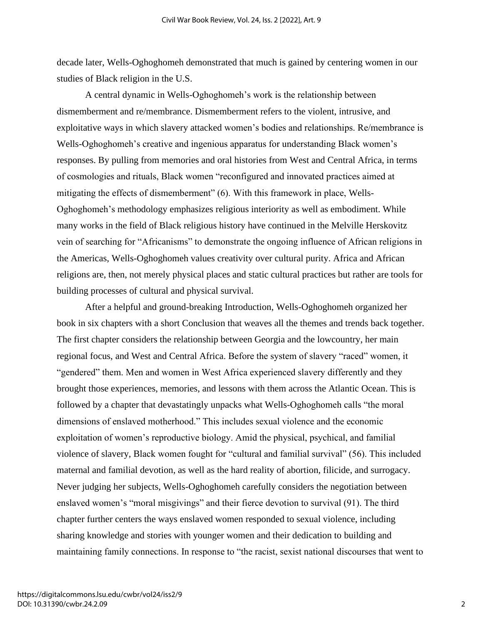decade later, Wells-Oghoghomeh demonstrated that much is gained by centering women in our studies of Black religion in the U.S.

A central dynamic in Wells-Oghoghomeh's work is the relationship between dismemberment and re/membrance. Dismemberment refers to the violent, intrusive, and exploitative ways in which slavery attacked women's bodies and relationships. Re/membrance is Wells-Oghoghomeh's creative and ingenious apparatus for understanding Black women's responses. By pulling from memories and oral histories from West and Central Africa, in terms of cosmologies and rituals, Black women "reconfigured and innovated practices aimed at mitigating the effects of dismemberment" (6). With this framework in place, Wells-Oghoghomeh's methodology emphasizes religious interiority as well as embodiment. While many works in the field of Black religious history have continued in the Melville Herskovitz vein of searching for "Africanisms" to demonstrate the ongoing influence of African religions in the Americas, Wells-Oghoghomeh values creativity over cultural purity. Africa and African religions are, then, not merely physical places and static cultural practices but rather are tools for building processes of cultural and physical survival.

After a helpful and ground-breaking Introduction, Wells-Oghoghomeh organized her book in six chapters with a short Conclusion that weaves all the themes and trends back together. The first chapter considers the relationship between Georgia and the lowcountry, her main regional focus, and West and Central Africa. Before the system of slavery "raced" women, it "gendered" them. Men and women in West Africa experienced slavery differently and they brought those experiences, memories, and lessons with them across the Atlantic Ocean. This is followed by a chapter that devastatingly unpacks what Wells-Oghoghomeh calls "the moral dimensions of enslaved motherhood." This includes sexual violence and the economic exploitation of women's reproductive biology. Amid the physical, psychical, and familial violence of slavery, Black women fought for "cultural and familial survival" (56). This included maternal and familial devotion, as well as the hard reality of abortion, filicide, and surrogacy. Never judging her subjects, Wells-Oghoghomeh carefully considers the negotiation between enslaved women's "moral misgivings" and their fierce devotion to survival (91). The third chapter further centers the ways enslaved women responded to sexual violence, including sharing knowledge and stories with younger women and their dedication to building and maintaining family connections. In response to "the racist, sexist national discourses that went to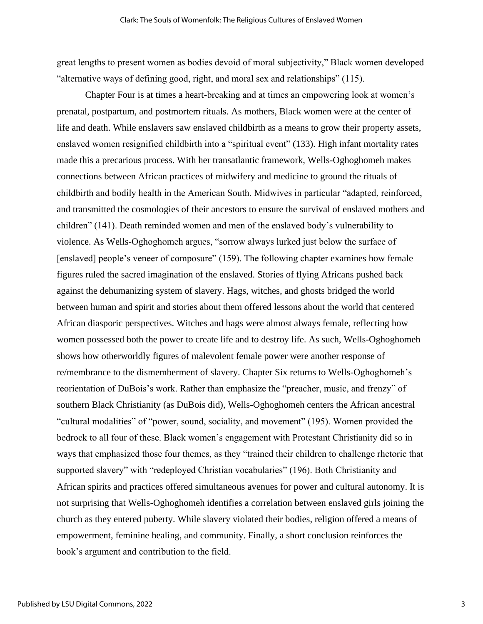great lengths to present women as bodies devoid of moral subjectivity," Black women developed "alternative ways of defining good, right, and moral sex and relationships" (115).

Chapter Four is at times a heart-breaking and at times an empowering look at women's prenatal, postpartum, and postmortem rituals. As mothers, Black women were at the center of life and death. While enslavers saw enslaved childbirth as a means to grow their property assets, enslaved women resignified childbirth into a "spiritual event" (133). High infant mortality rates made this a precarious process. With her transatlantic framework, Wells-Oghoghomeh makes connections between African practices of midwifery and medicine to ground the rituals of childbirth and bodily health in the American South. Midwives in particular "adapted, reinforced, and transmitted the cosmologies of their ancestors to ensure the survival of enslaved mothers and children" (141). Death reminded women and men of the enslaved body's vulnerability to violence. As Wells-Oghoghomeh argues, "sorrow always lurked just below the surface of [enslaved] people's veneer of composure" (159). The following chapter examines how female figures ruled the sacred imagination of the enslaved. Stories of flying Africans pushed back against the dehumanizing system of slavery. Hags, witches, and ghosts bridged the world between human and spirit and stories about them offered lessons about the world that centered African diasporic perspectives. Witches and hags were almost always female, reflecting how women possessed both the power to create life and to destroy life. As such, Wells-Oghoghomeh shows how otherworldly figures of malevolent female power were another response of re/membrance to the dismemberment of slavery. Chapter Six returns to Wells-Oghoghomeh's reorientation of DuBois's work. Rather than emphasize the "preacher, music, and frenzy" of southern Black Christianity (as DuBois did), Wells-Oghoghomeh centers the African ancestral "cultural modalities" of "power, sound, sociality, and movement" (195). Women provided the bedrock to all four of these. Black women's engagement with Protestant Christianity did so in ways that emphasized those four themes, as they "trained their children to challenge rhetoric that supported slavery" with "redeployed Christian vocabularies" (196). Both Christianity and African spirits and practices offered simultaneous avenues for power and cultural autonomy. It is not surprising that Wells-Oghoghomeh identifies a correlation between enslaved girls joining the church as they entered puberty. While slavery violated their bodies, religion offered a means of empowerment, feminine healing, and community. Finally, a short conclusion reinforces the book's argument and contribution to the field.